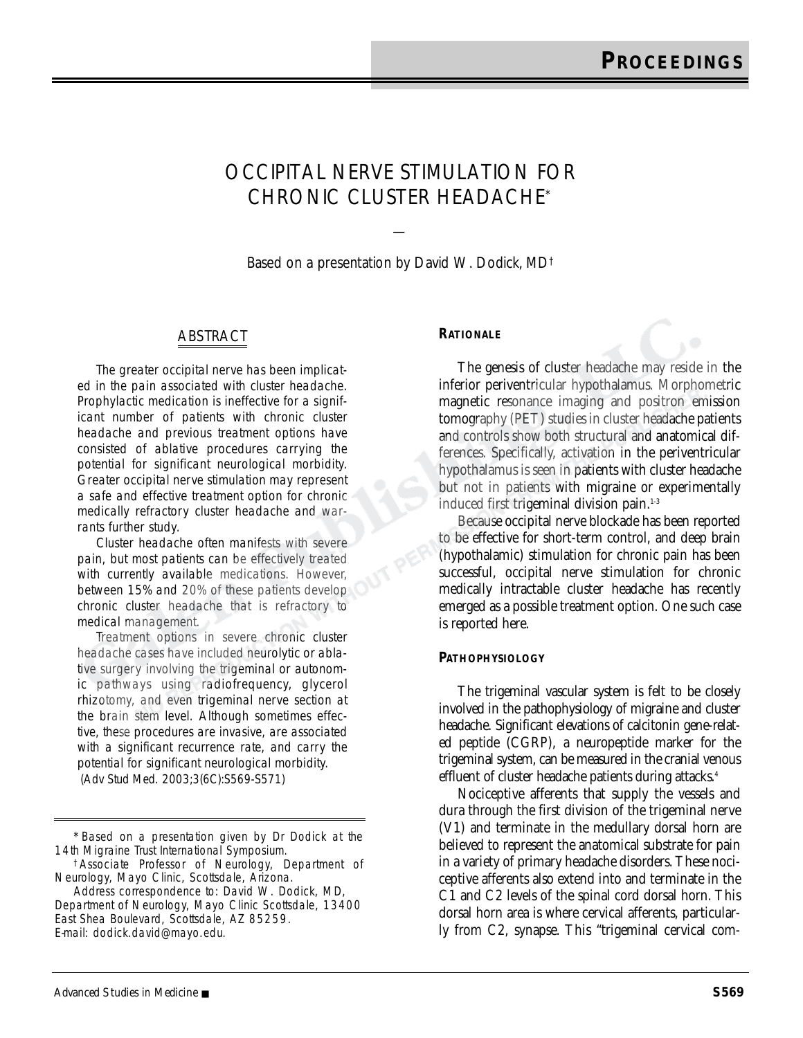# OCCIPITAL NERVE STIMULATION FOR CHRONIC CLUSTER HEADACHE\*

Based on a presentation by David W. Dodick, MD†

—

## ABSTRACT

The greater occipital nerve has been implicated in the pain associated with cluster headache. Prophylactic medication is ineffective for a significant number of patients with chronic cluster headache and previous treatment options have consisted of ablative procedures carrying the potential for significant neurological morbidity. Greater occipital nerve stimulation may represent a safe and effective treatment option for chronic medically refractory cluster headache and warrants further study.

Cluster headache often manifests with severe pain, but most patients can be effectively treated with currently available medications. However, between 15% and 20% of these patients develop chronic cluster headache that is refractory to medical management.

Treatment options in severe chronic cluster headache cases have included neurolytic or ablative surgery involving the trigeminal or autonomic pathways using radiofrequency, glycerol rhizotomy, and even trigeminal nerve section at the brain stem level. Although sometimes effective, these procedures are invasive, are associated with a significant recurrence rate, and carry the potential for significant neurological morbidity. (*Adv Stud Med.* 2003;3(6C):S569-S571)

#### **RATIONALE**

The genesis of cluster headache may reside in the inferior periventricular hypothalamus. Morphometric magnetic resonance imaging and positron emission tomography (PET) studies in cluster headache patients and controls show both structural and anatomical differences. Specifically, activation in the periventricular hypothalamus is seen in patients with cluster headache but not in patients with migraine or experimentally induced first trigeminal division pain.<sup>1-3</sup>

Because occipital nerve blockade has been reported to be effective for short-term control, and deep brain (hypothalamic) stimulation for chronic pain has been successful, occipital nerve stimulation for chronic medically intractable cluster headache has recently emerged as a possible treatment option. One such case is reported here.

#### **PATHOPHYSIOLOGY**

The trigeminal vascular system is felt to be closely involved in the pathophysiology of migraine and cluster headache. Significant elevations of calcitonin gene-related peptide (CGRP), a neuropeptide marker for the trigeminal system, can be measured in the cranial venous effluent of cluster headache patients during attacks.<sup>4</sup>

Nociceptive afferents that supply the vessels and dura through the first division of the trigeminal nerve (V1) and terminate in the medullary dorsal horn are believed to represent the anatomical substrate for pain in a variety of primary headache disorders. These nociceptive afferents also extend into and terminate in the C1 and C2 levels of the spinal cord dorsal horn. This dorsal horn area is where cervical afferents, particularly from C2, synapse. This "trigeminal cervical com-

<sup>\*</sup>Based on a presentation given by Dr Dodick at the 14th Migraine Trust International Symposium.

<sup>†</sup>Associate Professor of Neurology, Department of Neurology, Mayo Clinic, Scottsdale, Arizona.

Address correspondence to: David W. Dodick, MD, Department of Neurology, Mayo Clinic Scottsdale, 13400 East Shea Boulevard, Scottsdale, AZ 85259. E-mail: dodick.david@mayo.edu.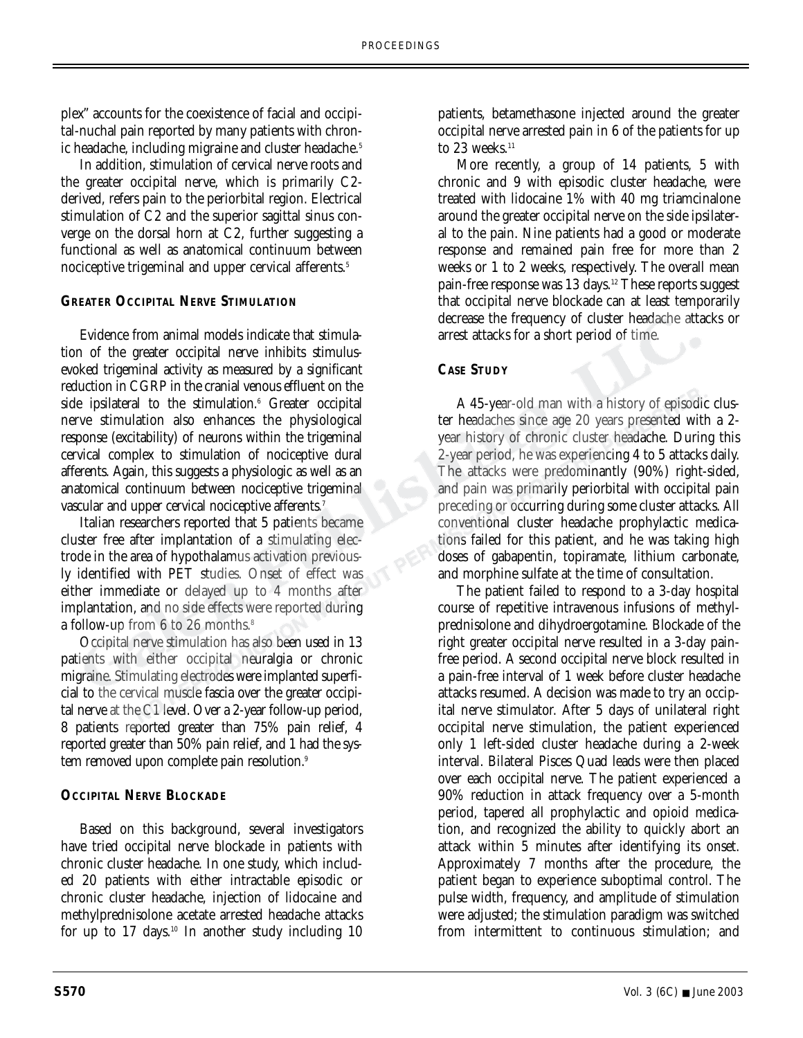plex" accounts for the coexistence of facial and occipital-nuchal pain reported by many patients with chronic headache, including migraine and cluster headache.<sup>5</sup>

In addition, stimulation of cervical nerve roots and the greater occipital nerve, which is primarily C2 derived, refers pain to the periorbital region. Electrical stimulation of C2 and the superior sagittal sinus converge on the dorsal horn at C2, further suggesting a functional as well as anatomical continuum between nociceptive trigeminal and upper cervical afferents.<sup>5</sup>

# **GREATER OCCIPITAL NERVE STIMULATION**

Evidence from animal models indicate that stimulation of the greater occipital nerve inhibits stimulusevoked trigeminal activity as measured by a significant reduction in CGRP in the cranial venous effluent on the side ipsilateral to the stimulation.<sup>6</sup> Greater occipital nerve stimulation also enhances the physiological response (excitability) of neurons within the trigeminal cervical complex to stimulation of nociceptive dural afferents. Again, this suggests a physiologic as well as an anatomical continuum between nociceptive trigeminal vascular and upper cervical nociceptive afferents.<sup>7</sup>

Italian researchers reported that 5 patients became cluster free after implantation of a stimulating electrode in the area of hypothalamus activation previously identified with PET studies. Onset of effect was either immediate or delayed up to 4 months after implantation, and no side effects were reported during a follow-up from 6 to 26 months.<sup>8</sup>

Occipital nerve stimulation has also been used in 13 patients with either occipital neuralgia or chronic migraine. Stimulating electrodes were implanted superficial to the cervical muscle fascia over the greater occipital nerve at the C1 level. Over a 2-year follow-up period, 8 patients reported greater than 75% pain relief, 4 reported greater than 50% pain relief, and 1 had the system removed upon complete pain resolution.9

## **OCCIPITAL NERVE BLOCKADE**

Based on this background, several investigators have tried occipital nerve blockade in patients with chronic cluster headache. In one study, which included 20 patients with either intractable episodic or chronic cluster headache, injection of lidocaine and methylprednisolone acetate arrested headache attacks for up to  $17$  days.<sup>10</sup> In another study including  $10$  patients, betamethasone injected around the greater occipital nerve arrested pain in 6 of the patients for up to 23 weeks. $11$ 

More recently, a group of 14 patients, 5 with chronic and 9 with episodic cluster headache, were treated with lidocaine 1% with 40 mg triamcinalone around the greater occipital nerve on the side ipsilateral to the pain. Nine patients had a good or moderate response and remained pain free for more than 2 weeks or 1 to 2 weeks, respectively. The overall mean pain-free response was  $13$  days.<sup>12</sup> These reports suggest that occipital nerve blockade can at least temporarily decrease the frequency of cluster headache attacks or arrest attacks for a short period of time.

# **CASE STUDY**

A 45-year-old man with a history of episodic cluster headaches since age 20 years presented with a 2 year history of chronic cluster headache. During this 2-year period, he was experiencing 4 to 5 attacks daily. The attacks were predominantly (90%) right-sided, and pain was primarily periorbital with occipital pain preceding or occurring during some cluster attacks. All conventional cluster headache prophylactic medications failed for this patient, and he was taking high doses of gabapentin, topiramate, lithium carbonate, and morphine sulfate at the time of consultation.

The patient failed to respond to a 3-day hospital course of repetitive intravenous infusions of methylprednisolone and dihydroergotamine. Blockade of the right greater occipital nerve resulted in a 3-day painfree period. A second occipital nerve block resulted in a pain-free interval of 1 week before cluster headache attacks resumed. A decision was made to try an occipital nerve stimulator. After 5 days of unilateral right occipital nerve stimulation, the patient experienced only 1 left-sided cluster headache during a 2-week interval. Bilateral Pisces Quad leads were then placed over each occipital nerve. The patient experienced a 90% reduction in attack frequency over a 5-month period, tapered all prophylactic and opioid medication, and recognized the ability to quickly abort an attack within 5 minutes after identifying its onset. Approximately 7 months after the procedure, the patient began to experience suboptimal control. The pulse width, frequency, and amplitude of stimulation were adjusted; the stimulation paradigm was switched from intermittent to continuous stimulation; and